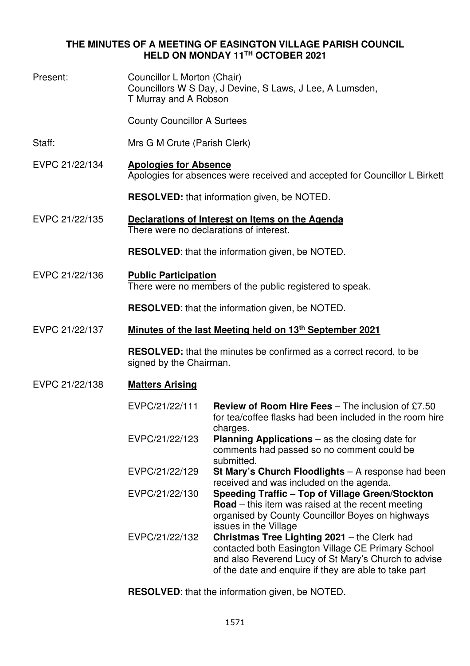## **THE MINUTES OF A MEETING OF EASINGTON VILLAGE PARISH COUNCIL HELD ON MONDAY 11TH OCTOBER 2021**

| Present:       | Councillor L Morton (Chair)<br>Councillors W S Day, J Devine, S Laws, J Lee, A Lumsden,<br>T Murray and A Robson |                                                                                                                                                                                                                                              |  |  |
|----------------|------------------------------------------------------------------------------------------------------------------|----------------------------------------------------------------------------------------------------------------------------------------------------------------------------------------------------------------------------------------------|--|--|
|                | <b>County Councillor A Surtees</b>                                                                               |                                                                                                                                                                                                                                              |  |  |
| Staff:         | Mrs G M Crute (Parish Clerk)                                                                                     |                                                                                                                                                                                                                                              |  |  |
| EVPC 21/22/134 | <b>Apologies for Absence</b><br>Apologies for absences were received and accepted for Councillor L Birkett       |                                                                                                                                                                                                                                              |  |  |
|                | <b>RESOLVED:</b> that information given, be NOTED.                                                               |                                                                                                                                                                                                                                              |  |  |
| EVPC 21/22/135 | Declarations of Interest on Items on the Agenda<br>There were no declarations of interest.                       |                                                                                                                                                                                                                                              |  |  |
|                | <b>RESOLVED:</b> that the information given, be NOTED.                                                           |                                                                                                                                                                                                                                              |  |  |
| EVPC 21/22/136 | <b>Public Participation</b><br>There were no members of the public registered to speak.                          |                                                                                                                                                                                                                                              |  |  |
|                | <b>RESOLVED:</b> that the information given, be NOTED.                                                           |                                                                                                                                                                                                                                              |  |  |
| EVPC 21/22/137 | Minutes of the last Meeting held on 13 <sup>th</sup> September 2021                                              |                                                                                                                                                                                                                                              |  |  |
|                | <b>RESOLVED:</b> that the minutes be confirmed as a correct record, to be<br>signed by the Chairman.             |                                                                                                                                                                                                                                              |  |  |
| EVPC 21/22/138 | <b>Matters Arising</b>                                                                                           |                                                                                                                                                                                                                                              |  |  |
|                | EVPC/21/22/111                                                                                                   | <b>Review of Room Hire Fees</b> $-$ The inclusion of £7.50<br>for tea/coffee flasks had been included in the room hire                                                                                                                       |  |  |
|                | EVPC/21/22/123                                                                                                   | charges.<br><b>Planning Applications</b> $-$ as the closing date for<br>comments had passed so no comment could be                                                                                                                           |  |  |
|                | EVPC/21/22/129                                                                                                   | submitted.<br>St Mary's Church Floodlights - A response had been                                                                                                                                                                             |  |  |
|                | EVPC/21/22/130                                                                                                   | received and was included on the agenda.<br>Speeding Traffic - Top of Village Green/Stockton<br><b>Road</b> – this item was raised at the recent meeting<br>organised by County Councillor Boyes on highways                                 |  |  |
|                | EVPC/21/22/132                                                                                                   | issues in the Village<br>Christmas Tree Lighting 2021 - the Clerk had<br>contacted both Easington Village CE Primary School<br>and also Reverend Lucy of St Mary's Church to advise<br>of the date and enquire if they are able to take part |  |  |

**RESOLVED**: that the information given, be NOTED.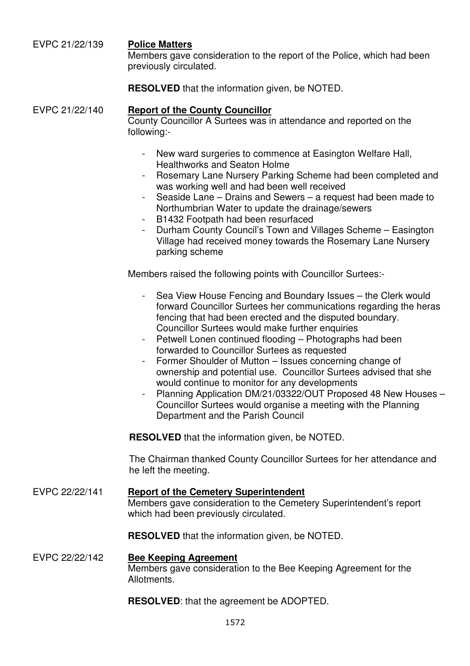## EVPC 21/22/139 **Police Matters**

Members gave consideration to the report of the Police, which had been previously circulated.

**RESOLVED** that the information given, be NOTED.

# EVPC 21/22/140 **Report of the County Councillor**

County Councillor A Surtees was in attendance and reported on the following:-

- New ward surgeries to commence at Easington Welfare Hall, Healthworks and Seaton Holme
- Rosemary Lane Nursery Parking Scheme had been completed and was working well and had been well received
- Seaside Lane Drains and Sewers a request had been made to Northumbrian Water to update the drainage/sewers
- B1432 Footpath had been resurfaced
- Durham County Council's Town and Villages Scheme Easington Village had received money towards the Rosemary Lane Nursery parking scheme

Members raised the following points with Councillor Surtees:-

- Sea View House Fencing and Boundary Issues the Clerk would forward Councillor Surtees her communications regarding the heras fencing that had been erected and the disputed boundary. Councillor Surtees would make further enquiries
- Petwell Lonen continued flooding Photographs had been forwarded to Councillor Surtees as requested
- Former Shoulder of Mutton Issues concerning change of ownership and potential use. Councillor Surtees advised that she would continue to monitor for any developments
- Planning Application DM/21/03322/OUT Proposed 48 New Houses -Councillor Surtees would organise a meeting with the Planning Department and the Parish Council

**RESOLVED** that the information given, be NOTED.

The Chairman thanked County Councillor Surtees for her attendance and he left the meeting.

EVPC 22/22/141 **Report of the Cemetery Superintendent** Members gave consideration to the Cemetery Superintendent's report which had been previously circulated.

**RESOLVED** that the information given, be NOTED.

### EVPC 22/22/142 **Bee Keeping Agreement** Members gave consideration to the Bee Keeping Agreement for the Allotments.

**RESOLVED**: that the agreement be ADOPTED.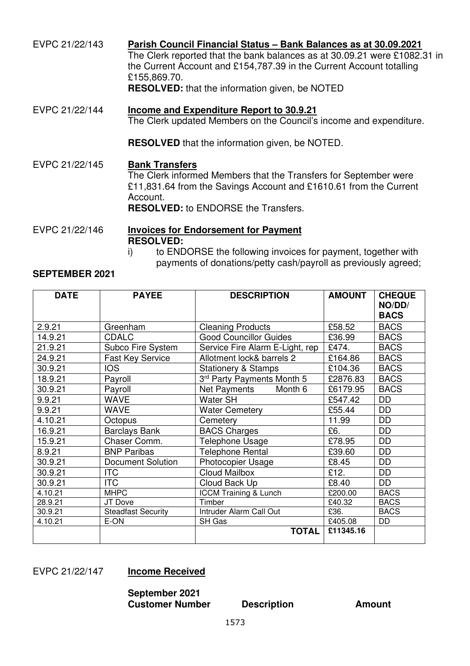EVPC 21/22/143 **Parish Council Financial Status – Bank Balances as at 30.09.2021** The Clerk reported that the bank balances as at 30.09.21 were £1082.31 in the Current Account and £154,787.39 in the Current Account totalling £155,869.70. **RESOLVED:** that the information given, be NOTED EVPC 21/22/144 **Income and Expenditure Report to 30.9.21**  The Clerk updated Members on the Council's income and expenditure. **RESOLVED** that the information given, be NOTED. EVPC 21/22/145 **Bank Transfers** The Clerk informed Members that the Transfers for September were £11,831.64 from the Savings Account and £1610.61 from the Current Account. **RESOLVED:** to ENDORSE the Transfers. EVPC 21/22/146 **Invoices for Endorsement for Payment RESOLVED:**  i) to ENDORSE the following invoices for payment, together with

payments of donations/petty cash/payroll as previously agreed;

#### **SEPTEMBER 2021**

| <b>DATE</b> | <b>PAYEE</b>              | <b>DESCRIPTION</b>               | <b>AMOUNT</b> | <b>CHEQUE</b><br>NO/DD/ |
|-------------|---------------------------|----------------------------------|---------------|-------------------------|
|             |                           |                                  |               | <b>BACS</b>             |
| 2.9.21      | Greenham                  | <b>Cleaning Products</b>         | £58.52        | <b>BACS</b>             |
| 14.9.21     | <b>CDALC</b>              | <b>Good Councillor Guides</b>    | £36.99        | <b>BACS</b>             |
| 21.9.21     | Subco Fire System         | Service Fire Alarm E-Light, rep  | £474.         | <b>BACS</b>             |
| 24.9.21     | <b>Fast Key Service</b>   | Allotment lock& barrels 2        | £164.86       | <b>BACS</b>             |
| 30.9.21     | <b>IOS</b>                | <b>Stationery &amp; Stamps</b>   | £104.36       | <b>BACS</b>             |
| 18.9.21     | Payroll                   | 3rd Party Payments Month 5       | £2876.83      | <b>BACS</b>             |
| 30.9.21     | Payroll                   | Net Payments<br>Month 6          | £6179.95      | <b>BACS</b>             |
| 9.9.21      | <b>WAVE</b>               | <b>Water SH</b>                  | £547.42       | DD                      |
| 9.9.21      | <b>WAVE</b>               | <b>Water Cemetery</b>            | £55.44        | DD                      |
| 4.10.21     | Octopus                   | Cemetery                         | 11.99         | <b>DD</b>               |
| 16.9.21     | <b>Barclays Bank</b>      | <b>BACS Charges</b>              | £6.           | <b>DD</b>               |
| 15.9.21     | Chaser Comm.              | <b>Telephone Usage</b>           | £78.95        | <b>DD</b>               |
| 8.9.21      | <b>BNP Paribas</b>        | <b>Telephone Rental</b>          | £39.60        | DD                      |
| 30.9.21     | <b>Document Solution</b>  | <b>Photocopier Usage</b>         | £8.45         | DD                      |
| 30.9.21     | <b>ITC</b>                | <b>Cloud Mailbox</b>             | £12.          | <b>DD</b>               |
| 30.9.21     | <b>ITC</b>                | Cloud Back Up                    | £8.40         | DD                      |
| 4.10.21     | <b>MHPC</b>               | <b>ICCM Training &amp; Lunch</b> | £200.00       | <b>BACS</b>             |
| 28.9.21     | JT Dove                   | Timber                           | £40.32        | <b>BACS</b>             |
| 30.9.21     | <b>Steadfast Security</b> | Intruder Alarm Call Out          | £36.          | <b>BACS</b>             |
| 4.10.21     | E-ON                      | SH Gas                           | £405.08       | DD                      |
|             |                           | <b>TOTAL</b>                     | £11345.16     |                         |

#### EVPC 21/22/147 **Income Received**

**September 2021 Customer Number Description Amount**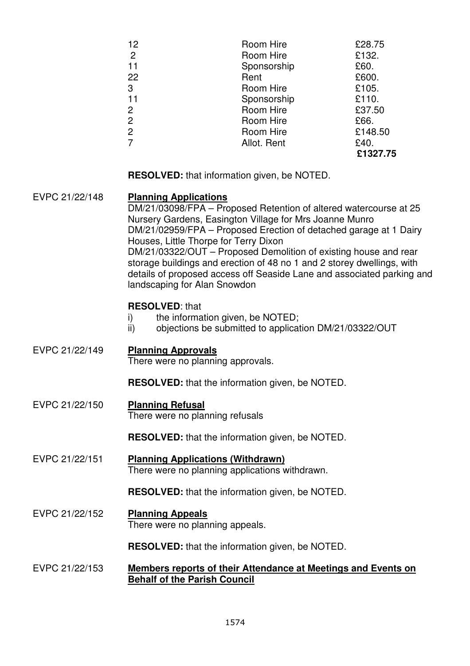| 12             | Room Hire   | £28.75   |
|----------------|-------------|----------|
| $\overline{2}$ | Room Hire   | £132.    |
| 11             | Sponsorship | £60.     |
| 22             | Rent        | £600.    |
| 3              | Room Hire   | £105.    |
| 11             | Sponsorship | £110.    |
| $\overline{2}$ | Room Hire   | £37.50   |
| 2              | Room Hire   | £66.     |
| $\overline{2}$ | Room Hire   | £148.50  |
| 7              | Allot. Rent | £40.     |
|                |             | £1327.75 |

**RESOLVED:** that information given, be NOTED.

EVPC 21/22/148 **Planning Applications**  DM/21/03098/FPA – Proposed Retention of altered watercourse at 25 Nursery Gardens, Easington Village for Mrs Joanne Munro DM/21/02959/FPA – Proposed Erection of detached garage at 1 Dairy Houses, Little Thorpe for Terry Dixon DM/21/03322/OUT – Proposed Demolition of existing house and rear storage buildings and erection of 48 no 1 and 2 storey dwellings, with details of proposed access off Seaside Lane and associated parking and landscaping for Alan Snowdon **RESOLVED**: that i) the information given, be NOTED; ii) objections be submitted to application DM/21/03322/OUT EVPC 21/22/149 **Planning Approvals**  There were no planning approvals. **RESOLVED:** that the information given, be NOTED. EVPC 21/22/150 **Planning Refusal**  There were no planning refusals **RESOLVED:** that the information given, be NOTED. EVPC 21/22/151 **Planning Applications (Withdrawn)**  There were no planning applications withdrawn. **RESOLVED:** that the information given, be NOTED.

EVPC 21/22/152 **Planning Appeals**  There were no planning appeals.

**RESOLVED:** that the information given, be NOTED.

EVPC 21/22/153 **Members reports of their Attendance at Meetings and Events on Behalf of the Parish Council**